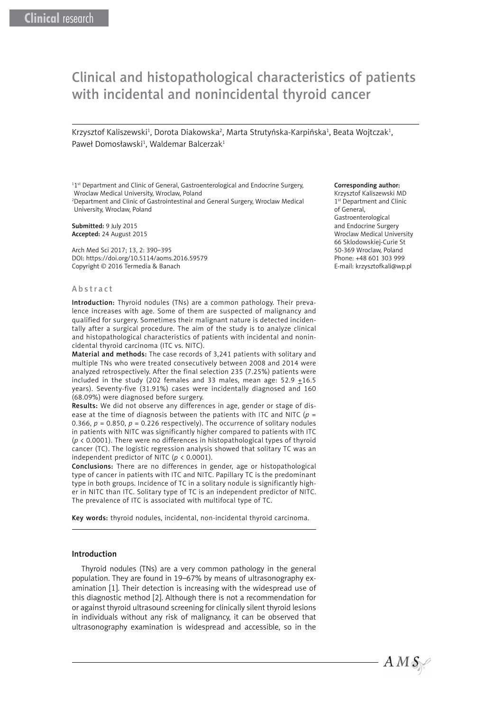# Clinical and histopathological characteristics of patients with incidental and nonincidental thyroid cancer

Krzysztof Kaliszewski<sup>1</sup>, Dorota Diakowska<sup>2</sup>, Marta Strutyńska-Karpińska<sup>1</sup>, Beata Wojtczak<sup>1</sup>, Paweł Domosławski<sup>1</sup>, Waldemar Balcerzak<sup>1</sup>

<sup>11st</sup> Department and Clinic of General, Gastroenterological and Endocrine Surgery, Wroclaw Medical University, Wroclaw, Poland

2 Department and Clinic of Gastrointestinal and General Surgery, Wroclaw Medical University, Wroclaw, Poland

Submitted: 9 July 2015 Accepted: 24 August 2015

Arch Med Sci 2017; 13, 2: 390–395 DOI: https://doi.org/10.5114/aoms.2016.59579 Copyright © 2016 Termedia & Banach

#### Abstract

Introduction: Thyroid nodules (TNs) are a common pathology. Their prevalence increases with age. Some of them are suspected of malignancy and qualified for surgery. Sometimes their malignant nature is detected incidentally after a surgical procedure. The aim of the study is to analyze clinical and histopathological characteristics of patients with incidental and nonincidental thyroid carcinoma (ITC vs. NITC).

Material and methods: The case records of 3,241 patients with solitary and multiple TNs who were treated consecutively between 2008 and 2014 were analyzed retrospectively. After the final selection 235 (7.25%) patients were included in the study (202 females and 33 males, mean age:  $52.9 \pm 16.5$ years). Seventy-five (31.91%) cases were incidentally diagnosed and 160 (68.09%) were diagnosed before surgery.

Results: We did not observe any differences in age, gender or stage of disease at the time of diagnosis between the patients with ITC and NITC (*p* = 0.366,  $p = 0.850$ ,  $p = 0.226$  respectively). The occurrence of solitary nodules in patients with NITC was significantly higher compared to patients with ITC (*p* < 0.0001). There were no differences in histopathological types of thyroid cancer (TC). The logistic regression analysis showed that solitary TC was an independent predictor of NITC (*p* < 0.0001).

Conclusions: There are no differences in gender, age or histopathological type of cancer in patients with ITC and NITC. Papillary TC is the predominant type in both groups. Incidence of TC in a solitary nodule is significantly higher in NITC than ITC. Solitary type of TC is an independent predictor of NITC. The prevalence of ITC is associated with multifocal type of TC.

Key words: thyroid nodules, incidental, non-incidental thyroid carcinoma.

#### Introduction

Thyroid nodules (TNs) are a very common pathology in the general population. They are found in 19–67% by means of ultrasonography examination [1]. Their detection is increasing with the widespread use of this diagnostic method [2]. Although there is not a recommendation for or against thyroid ultrasound screening for clinically silent thyroid lesions in individuals without any risk of malignancy, it can be observed that ultrasonography examination is widespread and accessible, so in the

#### Corresponding author:

Krzysztof Kaliszewski MD 1<sup>st</sup> Department and Clinic of General, Gastroenterological and Endocrine Surgery Wroclaw Medical University 66 Sklodowskiej-Curie St 50-369 Wroclaw, Poland Phone: +48 601 303 999 E-mail: krzysztofkali@wp.pl

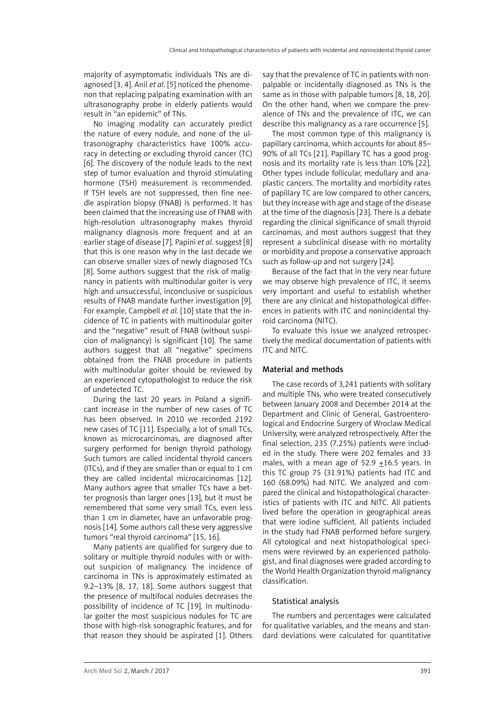majority of asymptomatic individuals TNs are diagnosed [3, 4]. Anil *et al.* [5] noticed the phenomenon that replacing palpating examination with an ultrasonography probe in elderly patients would result in "an epidemic" of TNs.

No imaging modality can accurately predict the nature of every nodule, and none of the ultrasonography characteristics have 100% accuracy in detecting or excluding thyroid cancer (TC) [6]. The discovery of the nodule leads to the next step of tumor evaluation and thyroid stimulating hormone (TSH) measurement is recommended. If TSH levels are not suppressed, then fine needle aspiration biopsy (FNAB) is performed. It has been claimed that the increasing use of FNAB with high-resolution ultrasonography makes thyroid malignancy diagnosis more frequent and at an earlier stage of disease [7]. Papini *et al.* suggest [8] that this is one reason why in the last decade we can observe smaller sizes of newly diagnosed TCs [8]. Some authors suggest that the risk of malignancy in patients with multinodular goiter is very high and unsuccessful, inconclusive or suspicious results of FNAB mandate further investigation [9]. For example, Campbell *et al.* [10] state that the incidence of TC in patients with multinodular goiter and the "negative" result of FNAB (without suspicion of malignancy) is significant [10]. The same authors suggest that all "negative" specimens obtained from the FNAB procedure in patients with multinodular goiter should be reviewed by an experienced cytopathologist to reduce the risk of undetected TC.

During the last 20 years in Poland a significant increase in the number of new cases of TC has been observed. In 2010 we recorded 2192 new cases of TC [11]. Especially, a lot of small TCs, known as microcarcinomas, are diagnosed after surgery performed for benign thyroid pathology. Such tumors are called incidental thyroid cancers (ITCs), and if they are smaller than or equal to 1 cm they are called incidental microcarcinomas [12]. Many authors agree that smaller TCs have a better prognosis than larger ones [13], but it must be remembered that some very small TCs, even less than 1 cm in diameter, have an unfavorable prognosis [14]. Some authors call these very aggressive tumors "real thyroid carcinoma" [15, 16].

Many patients are qualified for surgery due to solitary or multiple thyroid nodules with or without suspicion of malignancy. The incidence of carcinoma in TNs is approximately estimated as 9.2–13% [8, 17, 18]. Some authors suggest that the presence of multifocal nodules decreases the possibility of incidence of TC [19]. In multinodular goiter the most suspicious nodules for TC are those with high-risk sonographic features, and for that reason they should be aspirated [1]. Others say that the prevalence of TC in patients with nonpalpable or incidentally diagnosed as TNs is the same as in those with palpable tumors [8, 18, 20]. On the other hand, when we compare the prevalence of TNs and the prevalence of ITC, we can describe this malignancy as a rare occurrence [5].

The most common type of this malignancy is papillary carcinoma, which accounts for about 85– 90% of all TCs [21]. Papillary TC has a good prognosis and its mortality rate is less than 10% [22]. Other types include follicular, medullary and anaplastic cancers. The mortality and morbidity rates of papillary TC are low compared to other cancers, but they increase with age and stage of the disease at the time of the diagnosis [23]. There is a debate regarding the clinical significance of small thyroid carcinomas, and most authors suggest that they represent a subclinical disease with no mortality or morbidity and propose a conservative approach such as follow-up and not surgery [24].

Because of the fact that in the very near future we may observe high prevalence of ITC, it seems very important and useful to establish whether there are any clinical and histopathological differences in patients with ITC and nonincidental thyroid carcinoma (NITC).

To evaluate this issue we analyzed retrospectively the medical documentation of patients with ITC and NITC.

#### Material and methods

The case records of 3,241 patients with solitary and multiple TNs, who were treated consecutively between January 2008 and December 2014 at the Department and Clinic of General, Gastroenterological and Endocrine Surgery of Wroclaw Medical University, were analyzed retrospectively. After the final selection, 235 (7.25%) patients were included in the study. There were 202 females and 33 males, with a mean age of 52.9  $\pm$ 16.5 years. In this TC group 75 (31.91%) patients had ITC and 160 (68.09%) had NITC. We analyzed and compared the clinical and histopathological characteristics of patients with ITC and NITC. All patients lived before the operation in geographical areas that were iodine sufficient. All patients included in the study had FNAB performed before surgery. All cytological and next histopathological specimens were reviewed by an experienced pathologist, and final diagnoses were graded according to the World Health Organization thyroid malignancy classification.

#### Statistical analysis

The numbers and percentages were calculated for qualitative variables, and the means and standard deviations were calculated for quantitative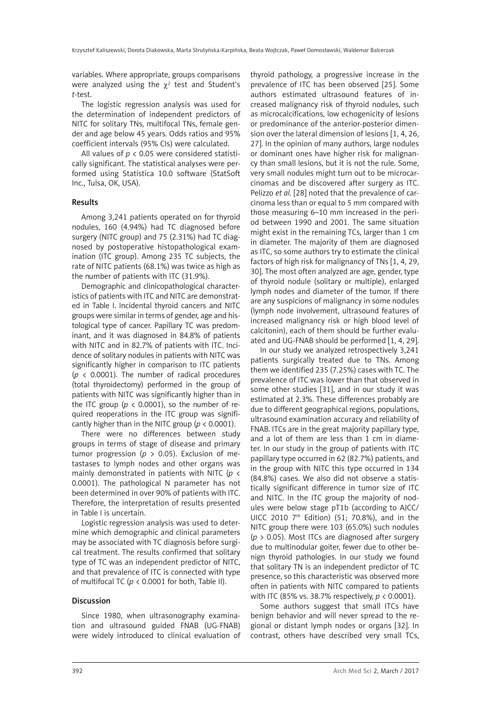variables. Where appropriate, groups comparisons were analyzed using the  $\chi^2$  test and Student's *t*-test.

The logistic regression analysis was used for the determination of independent predictors of NITC for solitary TNs, multifocal TNs, female gender and age below 45 years. Odds ratios and 95% coefficient intervals (95% CIs) were calculated.

All values of *p* < 0.05 were considered statistically significant. The statistical analyses were performed using Statistica 10.0 software (StatSoft Inc., Tulsa, OK, USA).

## Results

Among 3,241 patients operated on for thyroid nodules, 160 (4.94%) had TC diagnosed before surgery (NITC group) and 75 (2.31%) had TC diagnosed by postoperative histopathological examination (ITC group). Among 235 TC subjects, the rate of NITC patients (68.1%) was twice as high as the number of patients with ITC (31.9%).

Demographic and clinicopathological characteristics of patients with ITC and NITC are demonstrated in Table I. Incidental thyroid cancers and NITC groups were similar in terms of gender, age and histological type of cancer. Papillary TC was predominant, and it was diagnosed in 84.8% of patients with NITC and in 82.7% of patients with ITC. Incidence of solitary nodules in patients with NITC was significantly higher in comparison to ITC patients (*p* < 0.0001). The number of radical procedures (total thyroidectomy) performed in the group of patients with NITC was significantly higher than in the ITC group ( $p < 0.0001$ ), so the number of required reoperations in the ITC group was significantly higher than in the NITC group (*p* < 0.0001).

There were no differences between study groups in terms of stage of disease and primary tumor progression ( $p > 0.05$ ). Exclusion of metastases to lymph nodes and other organs was mainly demonstrated in patients with NITC (*p* < 0.0001). The pathological N parameter has not been determined in over 90% of patients with ITC. Therefore, the interpretation of results presented in Table I is uncertain.

Logistic regression analysis was used to determine which demographic and clinical parameters may be associated with TC diagnosis before surgical treatment. The results confirmed that solitary type of TC was an independent predictor of NITC, and that prevalence of ITC is connected with type of multifocal TC ( $p < 0.0001$  for both, Table II).

# **Discussion**

Since 1980, when ultrasonography examination and ultrasound guided FNAB (UG-FNAB) were widely introduced to clinical evaluation of thyroid pathology, a progressive increase in the prevalence of ITC has been observed [25]. Some authors estimated ultrasound features of increased malignancy risk of thyroid nodules, such as microcalcifications, low echogenicity of lesions or predominance of the anterior-posterior dimension over the lateral dimension of lesions [1, 4, 26, 27]. In the opinion of many authors, large nodules or dominant ones have higher risk for malignancy than small lesions, but it is not the rule. Some, very small nodules might turn out to be microcarcinomas and be discovered after surgery as ITC. Pelizzo *et al.* [28] noted that the prevalence of carcinoma less than or equal to 5 mm compared with those measuring 6–10 mm increased in the period between 1990 and 2001. The same situation might exist in the remaining TCs, larger than 1 cm in diameter. The majority of them are diagnosed as ITC, so some authors try to estimate the clinical factors of high risk for malignancy of TNs [1, 4, 29, 30]. The most often analyzed are age, gender, type of thyroid nodule (solitary or multiple), enlarged lymph nodes and diameter of the tumor. If there are any suspicions of malignancy in some nodules (lymph node involvement, ultrasound features of increased malignancy risk or high blood level of calcitonin), each of them should be further evaluated and UG-FNAB should be performed [1, 4, 29].

In our study we analyzed retrospectively 3,241 patients surgically treated due to TNs. Among them we identified 235 (7.25%) cases with TC. The prevalence of ITC was lower than that observed in some other studies [31], and in our study it was estimated at 2.3%. These differences probably are due to different geographical regions, populations, ultrasound examination accuracy and reliability of FNAB. ITCs are in the great majority papillary type, and a lot of them are less than 1 cm in diameter. In our study in the group of patients with ITC papillary type occurred in 62 (82.7%) patients, and in the group with NITC this type occurred in 134 (84.8%) cases. We also did not observe a statistically significant difference in tumor size of ITC and NITC. In the ITC group the majority of nodules were below stage pT1b (according to AJCC/ UICC 2010  $7<sup>th</sup>$  Edition) (51; 70.8%), and in the NITC group there were 103 (65.0%) such nodules (*p* > 0.05). Most ITCs are diagnosed after surgery due to multinodular goiter, fewer due to other benign thyroid pathologies. In our study we found that solitary TN is an independent predictor of TC presence, so this characteristic was observed more often in patients with NITC compared to patients with ITC (85% vs. 38.7% respectively, *p* < 0.0001).

Some authors suggest that small ITCs have benign behavior and will never spread to the regional or distant lymph nodes or organs [32]. In contrast, others have described very small TCs,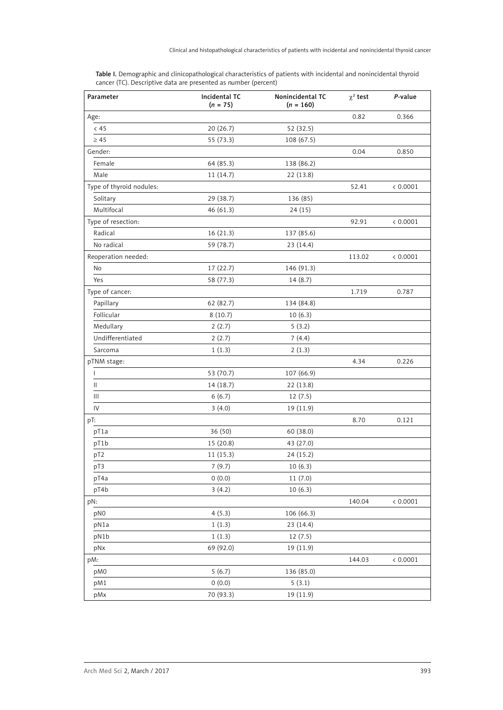| Parameter                | Incidental TC<br>$(n = 75)$ | Nonincidental TC<br>$(n = 160)$ | $\chi^2$ test | P-value  |
|--------------------------|-----------------------------|---------------------------------|---------------|----------|
| Age:                     |                             |                                 | 0.82          | 0.366    |
| < 45                     | 20(26.7)                    | 52 (32.5)                       |               |          |
| $\geq 45$                | 55 (73.3)                   | 108 (67.5)                      |               |          |
| Gender:                  |                             |                                 | 0.04          | 0.850    |
| Female                   | 64 (85.3)                   | 138 (86.2)                      |               |          |
| Male                     | 11(14.7)                    | 22(13.8)                        |               |          |
| Type of thyroid nodules: |                             |                                 | 52.41         | < 0.0001 |
| Solitary                 | 29 (38.7)                   | 136 (85)                        |               |          |
| Multifocal               | 46(61.3)                    | 24(15)                          |               |          |
| Type of resection:       |                             |                                 | 92.91         | < 0.0001 |
| Radical                  | 16 (21.3)                   | 137 (85.6)                      |               |          |
| No radical               | 59 (78.7)                   | 23 (14.4)                       |               |          |
| Reoperation needed:      |                             |                                 | 113.02        | < 0.0001 |
| No                       | 17 (22.7)                   | 146 (91.3)                      |               |          |
| Yes                      | 58 (77.3)                   | 14(8.7)                         |               |          |
| Type of cancer:          |                             |                                 | 1.719         | 0.787    |
| Papillary                | 62 (82.7)                   | 134 (84.8)                      |               |          |
| Follicular               | 8(10.7)                     | 10(6.3)                         |               |          |
| Medullary                | 2(2.7)                      | 5(3.2)                          |               |          |
| Undifferentiated         | 2(2.7)                      | 7(4.4)                          |               |          |
| Sarcoma                  | 1(1.3)                      | 2(1.3)                          |               |          |
| pTNM stage:              |                             |                                 | 4.34          | 0.226    |
| L                        | 53 (70.7)                   | 107 (66.9)                      |               |          |
| Ш                        | 14 (18.7)                   | 22 (13.8)                       |               |          |
| Ш                        | 6(6.7)                      | 12(7.5)                         |               |          |
| IV                       | 3(4.0)                      | 19 (11.9)                       |               |          |
| pT:                      |                             |                                 | 8.70          | 0.121    |
| pT1a                     | 36 (50)                     | 60 (38.0)                       |               |          |
| pT1b                     | 15 (20.8)                   | 43 (27.0)                       |               |          |
| pT <sub>2</sub>          | 11(15.3)                    | 24 (15.2)                       |               |          |
| pT3                      | 7(9.7)                      | 10(6.3)                         |               |          |
| pT4a                     | 0(0.0)                      | 11(7.0)                         |               |          |
| pT4b                     | 3(4.2)                      | 10(6.3)                         |               |          |
| pN:                      |                             |                                 | 140.04        | < 0.0001 |
| pN0                      | 4(5.3)                      | 106 (66.3)                      |               |          |
| pN1a                     | 1(1.3)                      | 23 (14.4)                       |               |          |
| pN1b                     | 1(1.3)                      | 12(7.5)                         |               |          |
| pNx                      | 69 (92.0)                   | 19 (11.9)                       |               |          |
| pM:                      |                             |                                 | 144.03        | < 0.0001 |
| pM0                      | 5(6.7)                      | 136 (85.0)                      |               |          |
| pM1                      | 0(0.0)                      | 5(3.1)                          |               |          |
| pMx                      | 70 (93.3)                   | 19 (11.9)                       |               |          |

Table I. Demographic and clinicopathological characteristics of patients with incidental and nonincidental thyroid cancer (TC). Descriptive data are presented as number (percent)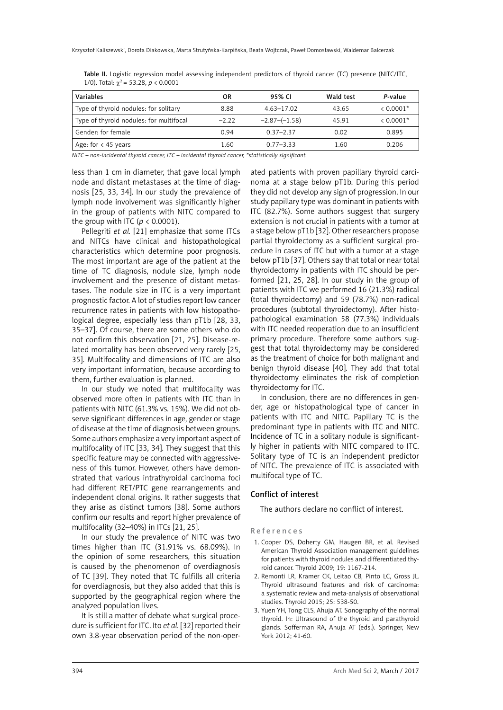| Variables                               | OR      | 95% CL          | Wald test | P-value        |
|-----------------------------------------|---------|-----------------|-----------|----------------|
| Type of thyroid nodules: for solitary   | 8.88    | $4.63 - 17.02$  | 43.65     | $\leq 0.0001*$ |
| Type of thyroid nodules: for multifocal | $-2.22$ | $-2.87-(-1.58)$ | 45.91     | $< 0.0001*$    |
| Gender: for female                      | 0.94    | $0.37 - 2.37$   | 0.02      | 0.895          |
| Age: for $\lt$ 45 years                 | 1.60    | $0.77 - 3.33$   | 1.60      | 0.206          |

Table II. Logistic regression model assessing independent predictors of thyroid cancer (TC) presence (NITC/ITC, 1/0). Total:  $\chi^2$  = 53.28, *p* < 0.0001

*NITC – non-incidental thyroid cancer, ITC – incidental thyroid cancer, \*statistically significant.*

less than 1 cm in diameter, that gave local lymph node and distant metastases at the time of diagnosis [25, 33, 34]. In our study the prevalence of lymph node involvement was significantly higher in the group of patients with NITC compared to the group with ITC ( $p < 0.0001$ ).

Pellegriti *et al.* [21] emphasize that some ITCs and NITCs have clinical and histopathological characteristics which determine poor prognosis. The most important are age of the patient at the time of TC diagnosis, nodule size, lymph node involvement and the presence of distant metastases. The nodule size in ITC is a very important prognostic factor. A lot of studies report low cancer recurrence rates in patients with low histopathological degree, especially less than pT1b [28, 33, 35–37]. Of course, there are some others who do not confirm this observation [21, 25]. Disease-related mortality has been observed very rarely [25, 35]. Multifocality and dimensions of ITC are also very important information, because according to them, further evaluation is planned.

In our study we noted that multifocality was observed more often in patients with ITC than in patients with NITC (61.3% vs. 15%). We did not observe significant differences in age, gender or stage of disease at the time of diagnosis between groups. Some authors emphasize a very important aspect of multifocality of ITC [33, 34]. They suggest that this specific feature may be connected with aggressiveness of this tumor. However, others have demonstrated that various intrathyroidal carcinoma foci had different RET/PTC gene rearrangements and independent clonal origins. It rather suggests that they arise as distinct tumors [38]. Some authors confirm our results and report higher prevalence of multifocality (32–40%) in ITCs [21, 25].

In our study the prevalence of NITC was two times higher than ITC (31.91% vs. 68.09%). In the opinion of some researchers, this situation is caused by the phenomenon of overdiagnosis of TC [39]. They noted that TC fulfills all criteria for overdiagnosis, but they also added that this is supported by the geographical region where the analyzed population lives.

It is still a matter of debate what surgical procedure is sufficient for ITC. Ito *et al.* [32] reported their own 3.8-year observation period of the non-oper-

ated patients with proven papillary thyroid carcinoma at a stage below pT1b. During this period they did not develop any sign of progression. In our study papillary type was dominant in patients with ITC (82.7%). Some authors suggest that surgery extension is not crucial in patients with a tumor at a stage below pT1b [32]. Other researchers propose partial thyroidectomy as a sufficient surgical procedure in cases of ITC but with a tumor at a stage below pT1b [37]. Others say that total or near total thyroidectomy in patients with ITC should be performed [21, 25, 28]. In our study in the group of patients with ITC we performed 16 (21.3%) radical (total thyroidectomy) and 59 (78.7%) non-radical procedures (subtotal thyroidectomy). After histopathological examination 58 (77.3%) individuals with ITC needed reoperation due to an insufficient primary procedure. Therefore some authors suggest that total thyroidectomy may be considered as the treatment of choice for both malignant and benign thyroid disease [40]. They add that total thyroidectomy eliminates the risk of completion thyroidectomy for ITC.

In conclusion, there are no differences in gender, age or histopathological type of cancer in patients with ITC and NITC. Papillary TC is the predominant type in patients with ITC and NITC. Incidence of TC in a solitary nodule is significantly higher in patients with NITC compared to ITC. Solitary type of TC is an independent predictor of NITC. The prevalence of ITC is associated with multifocal type of TC.

### Conflict of interest

The authors declare no conflict of interest.

References

- 1. Cooper DS, Doherty GM, Haugen BR, et al. Revised American Thyroid Association management guidelines for patients with thyroid nodules and differentiated thyroid cancer. Thyroid 2009; 19: 1167-214.
- 2. Remonti LR, Kramer CK, Leitao CB, Pinto LC, Gross JL. Thyroid ultrasound features and risk of carcinoma: a systematic review and meta-analysis of observational studies. Thyroid 2015; 25: 538-50.
- 3. Yuen YH, Tong CLS, Ahuja AT. Sonography of the normal thyroid. In: Ultrasound of the thyroid and parathyroid glands. Sofferman RA, Ahuja AT (eds.). Springer, New York 2012; 41-60.